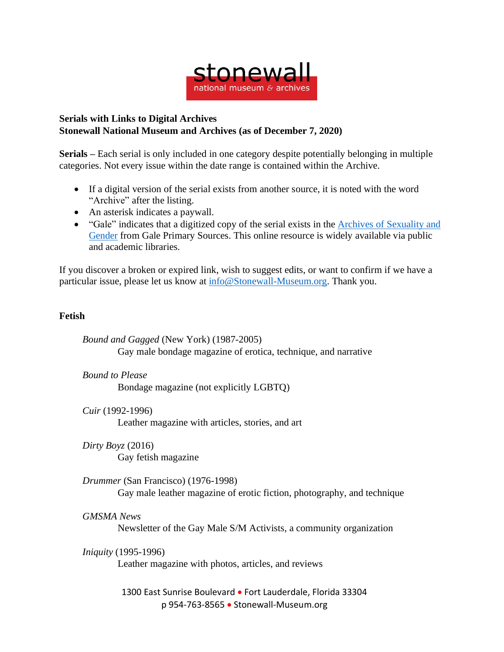

## **Serials with Links to Digital Archives Stonewall National Museum and Archives (as of December 7, 2020)**

**Serials –** Each serial is only included in one category despite potentially belonging in multiple categories. Not every issue within the date range is contained within the Archive.

- If a digital version of the serial exists from another source, it is noted with the word "Archive" after the listing.
- An asterisk indicates a paywall.
- "Gale" indicates that a digitized copy of the serial exists in the Archives of [Sexuality](https://www.gale.com/primary-sources/archives-of-sexuality-and-gender) and [Gender](https://www.gale.com/primary-sources/archives-of-sexuality-and-gender) from Gale Primary Sources. This online resource is widely available via public and academic libraries.

If you discover a broken or expired link, wish to suggest edits, or want to confirm if we have a particular issue, please let us know at [info@Stonewall-Museum.org.](mailto:info@Stonewall-Museum.org) Thank you.

## **Fetish**

*Bound and Gagged* (New York) (1987-2005) Gay male bondage magazine of erotica, technique, and narrative

*Bound to Please* Bondage magazine (not explicitly LGBTQ)

*Cuir* (1992-1996)

Leather magazine with articles, stories, and art

*Dirty Boyz* (2016)

Gay fetish magazine

*Drummer* (San Francisco) (1976-1998)

Gay male leather magazine of erotic fiction, photography, and technique

## *GMSMA News*

Newsletter of the Gay Male S/M Activists, a community organization

## *Iniquity* (1995-1996)

Leather magazine with photos, articles, and reviews

1300 East Sunrise Boulevard • Fort Lauderdale, Florida 33304 p 954-763-8565 • Stonewall-Museum.org